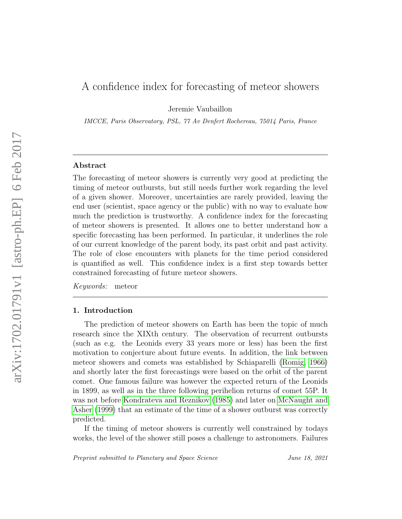# A confidence index for forecasting of meteor showers

Jeremie Vaubaillon

IMCCE, Paris Observatory, PSL, 77 Av Denfert Rochereau, 75014 Paris, France

# Abstract

The forecasting of meteor showers is currently very good at predicting the timing of meteor outbursts, but still needs further work regarding the level of a given shower. Moreover, uncertainties are rarely provided, leaving the end user (scientist, space agency or the public) with no way to evaluate how much the prediction is trustworthy. A confidence index for the forecasting of meteor showers is presented. It allows one to better understand how a specific forecasting has been performed. In particular, it underlines the role of our current knowledge of the parent body, its past orbit and past activity. The role of close encounters with planets for the time period considered is quantified as well. This confidence index is a first step towards better constrained forecasting of future meteor showers.

Keywords: meteor

#### 1. Introduction

The prediction of meteor showers on Earth has been the topic of much research since the XIXth century. The observation of recurrent outbursts (such as e.g. the Leonids every 33 years more or less) has been the first motivation to conjecture about future events. In addition, the link between meteor showers and comets was established by Schiaparelli [\(Romig, 1966\)](#page-14-0) and shortly later the first forecastings were based on the orbit of the parent comet. One famous failure was however the expected return of the Leonids in 1899, as well as in the three following perihelion returns of comet 55P. It was not before [Kondrateva and Reznikov](#page-13-0) [\(1985\)](#page-13-0) and later on [McNaught and](#page-14-1) [Asher](#page-14-1) [\(1999\)](#page-14-1) that an estimate of the time of a shower outburst was correctly predicted.

If the timing of meteor showers is currently well constrained by todays works, the level of the shower still poses a challenge to astronomers. Failures

Preprint submitted to Planetary and Space Science June 18, 2021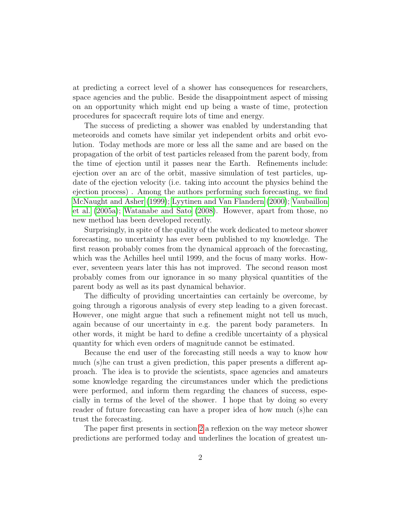at predicting a correct level of a shower has consequences for researchers, space agencies and the public. Beside the disappointment aspect of missing on an opportunity which might end up being a waste of time, protection procedures for spacecraft require lots of time and energy.

The success of predicting a shower was enabled by understanding that meteoroids and comets have similar yet independent orbits and orbit evolution. Today methods are more or less all the same and are based on the propagation of the orbit of test particles released from the parent body, from the time of ejection until it passes near the Earth. Refinements include: ejection over an arc of the orbit, massive simulation of test particles, update of the ejection velocity (i.e. taking into account the physics behind the ejection process) . Among the authors performing such forecasting, we find [McNaught and Asher](#page-14-1) [\(1999\)](#page-14-1); [Lyytinen and Van Flandern](#page-13-1) [\(2000\)](#page-13-1); [Vaubaillon](#page-14-2) [et al.](#page-14-2) [\(2005a\)](#page-14-2); [Watanabe and Sato](#page-15-0) [\(2008\)](#page-15-0). However, apart from those, no new method has been developed recently.

Surprisingly, in spite of the quality of the work dedicated to meteor shower forecasting, no uncertainty has ever been published to my knowledge. The first reason probably comes from the dynamical approach of the forecasting, which was the Achilles heel until 1999, and the focus of many works. However, seventeen years later this has not improved. The second reason most probably comes from our ignorance in so many physical quantities of the parent body as well as its past dynamical behavior.

The difficulty of providing uncertainties can certainly be overcome, by going through a rigorous analysis of every step leading to a given forecast. However, one might argue that such a refinement might not tell us much, again because of our uncertainty in e.g. the parent body parameters. In other words, it might be hard to define a credible uncertainty of a physical quantity for which even orders of magnitude cannot be estimated.

Because the end user of the forecasting still needs a way to know how much (s)he can trust a given prediction, this paper presents a different approach. The idea is to provide the scientists, space agencies and amateurs some knowledge regarding the circumstances under which the predictions were performed, and inform them regarding the chances of success, especially in terms of the level of the shower. I hope that by doing so every reader of future forecasting can have a proper idea of how much (s)he can trust the forecasting.

The paper first presents in section [2](#page-2-0) a reflexion on the way meteor shower predictions are performed today and underlines the location of greatest un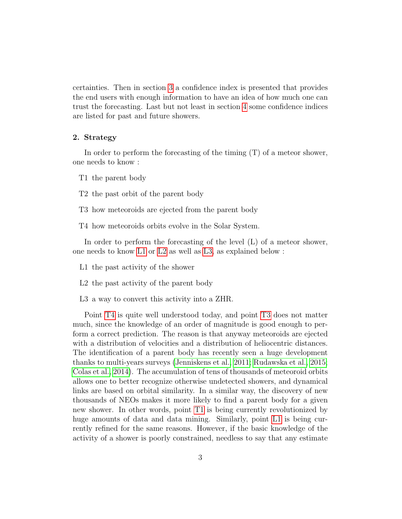certainties. Then in section [3](#page-4-0) a confidence index is presented that provides the end users with enough information to have an idea of how much one can trust the forecasting. Last but not least in section [4](#page-9-0) some confidence indices are listed for past and future showers.

#### <span id="page-2-0"></span>2. Strategy

In order to perform the forecasting of the timing (T) of a meteor shower, one needs to know :

<span id="page-2-6"></span>T1 the parent body

<span id="page-2-7"></span>T2 the past orbit of the parent body

<span id="page-2-5"></span>T3 how meteoroids are ejected from the parent body

<span id="page-2-4"></span>T4 how meteoroids orbits evolve in the Solar System.

In order to perform the forecasting of the level (L) of a meteor shower, one needs to know [L1](#page-2-1) or [L2](#page-2-2) as well as [L3,](#page-2-3) as explained below :

<span id="page-2-1"></span>L1 the past activity of the shower

<span id="page-2-2"></span>L2 the past activity of the parent body

<span id="page-2-3"></span>L3 a way to convert this activity into a ZHR.

Point [T4](#page-2-4) is quite well understood today, and point [T3](#page-2-5) does not matter much, since the knowledge of an order of magnitude is good enough to perform a correct prediction. The reason is that anyway meteoroids are ejected with a distribution of velocities and a distribution of heliocentric distances. The identification of a parent body has recently seen a huge development thanks to multi-years surveys [\(Jenniskens et al., 2011;](#page-13-2) [Rudawska et al., 2015;](#page-14-3) [Colas et al., 2014\)](#page-13-3). The accumulation of tens of thousands of meteoroid orbits allows one to better recognize otherwise undetected showers, and dynamical links are based on orbital similarity. In a similar way, the discovery of new thousands of NEOs makes it more likely to find a parent body for a given new shower. In other words, point [T1](#page-2-6) is being currently revolutionized by huge amounts of data and data mining. Similarly, point [L1](#page-2-1) is being currently refined for the same reasons. However, if the basic knowledge of the activity of a shower is poorly constrained, needless to say that any estimate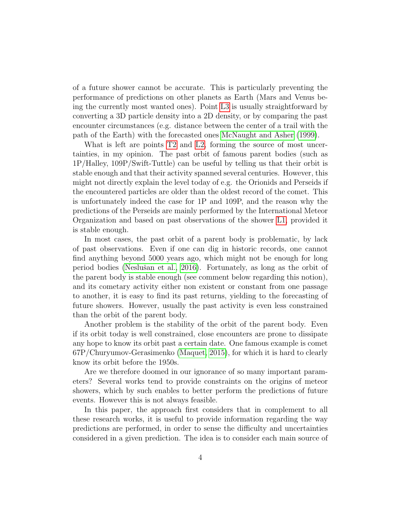of a future shower cannot be accurate. This is particularly preventing the performance of predictions on other planets as Earth (Mars and Venus being the currently most wanted ones). Point [L3](#page-2-3) is usually straightforward by converting a 3D particle density into a 2D density, or by comparing the past encounter circumstances (e.g. distance between the center of a trail with the path of the Earth) with the forecasted ones [McNaught and Asher](#page-14-1) [\(1999\)](#page-14-1).

What is left are points [T2](#page-2-7) and [L2,](#page-2-2) forming the source of most uncertainties, in my opinion. The past orbit of famous parent bodies (such as 1P/Halley, 109P/Swift-Tuttle) can be useful by telling us that their orbit is stable enough and that their activity spanned several centuries. However, this might not directly explain the level today of e.g. the Orionids and Perseids if the encountered particles are older than the oldest record of the comet. This is unfortunately indeed the case for 1P and 109P, and the reason why the predictions of the Perseids are mainly performed by the International Meteor Organization and based on past observations of the shower [L1,](#page-2-1) provided it is stable enough.

In most cases, the past orbit of a parent body is problematic, by lack of past observations. Even if one can dig in historic records, one cannot find anything beyond 5000 years ago, which might not be enough for long period bodies (Neslušan et al., 2016). Fortunately, as long as the orbit of the parent body is stable enough (see comment below regarding this notion), and its cometary activity either non existent or constant from one passage to another, it is easy to find its past returns, yielding to the forecasting of future showers. However, usually the past activity is even less constrained than the orbit of the parent body.

Another problem is the stability of the orbit of the parent body. Even if its orbit today is well constrained, close encounters are prone to dissipate any hope to know its orbit past a certain date. One famous example is comet 67P/Churyumov-Gerasimenko [\(Maquet, 2015\)](#page-14-5), for which it is hard to clearly know its orbit before the 1950s.

Are we therefore doomed in our ignorance of so many important parameters? Several works tend to provide constraints on the origins of meteor showers, which by such enables to better perform the predictions of future events. However this is not always feasible.

In this paper, the approach first considers that in complement to all these research works, it is useful to provide information regarding the way predictions are performed, in order to sense the difficulty and uncertainties considered in a given prediction. The idea is to consider each main source of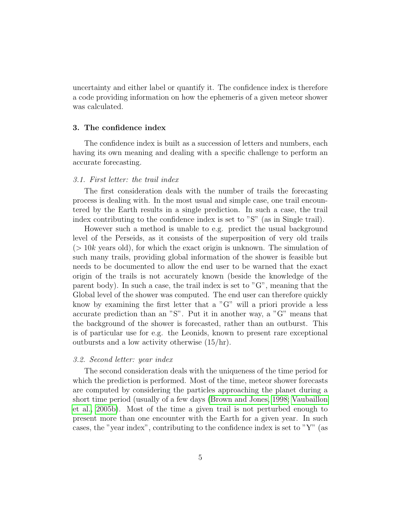uncertainty and either label or quantify it. The confidence index is therefore a code providing information on how the ephemeris of a given meteor shower was calculated.

#### <span id="page-4-0"></span>3. The confidence index

The confidence index is built as a succession of letters and numbers, each having its own meaning and dealing with a specific challenge to perform an accurate forecasting.

#### 3.1. First letter: the trail index

The first consideration deals with the number of trails the forecasting process is dealing with. In the most usual and simple case, one trail encountered by the Earth results in a single prediction. In such a case, the trail index contributing to the confidence index is set to "S" (as in Single trail).

However such a method is unable to e.g. predict the usual background level of the Perseids, as it consists of the superposition of very old trails  $(> 10k$  years old), for which the exact origin is unknown. The simulation of such many trails, providing global information of the shower is feasible but needs to be documented to allow the end user to be warned that the exact origin of the trails is not accurately known (beside the knowledge of the parent body). In such a case, the trail index is set to "G", meaning that the Global level of the shower was computed. The end user can therefore quickly know by examining the first letter that a "G" will a priori provide a less accurate prediction than an "S". Put it in another way, a "G" means that the background of the shower is forecasted, rather than an outburst. This is of particular use for e.g. the Leonids, known to present rare exceptional outbursts and a low activity otherwise (15/hr).

#### 3.2. Second letter: year index

The second consideration deals with the uniqueness of the time period for which the prediction is performed. Most of the time, meteor shower forecasts are computed by considering the particles approaching the planet during a short time period (usually of a few days [\(Brown and Jones, 1998;](#page-13-4) [Vaubaillon](#page-14-6) [et al., 2005b\)](#page-14-6). Most of the time a given trail is not perturbed enough to present more than one encounter with the Earth for a given year. In such cases, the "year index", contributing to the confidence index is set to "Y" (as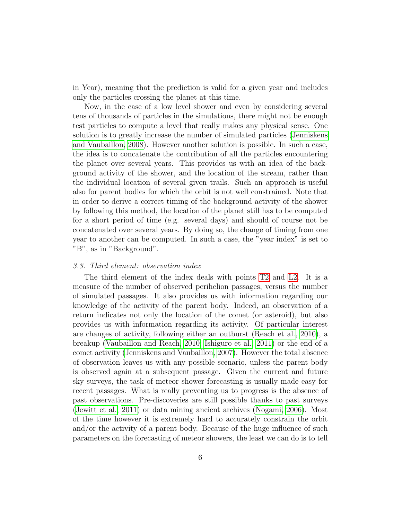in Year), meaning that the prediction is valid for a given year and includes only the particles crossing the planet at this time.

Now, in the case of a low level shower and even by considering several tens of thousands of particles in the simulations, there might not be enough test particles to compute a level that really makes any physical sense. One solution is to greatly increase the number of simulated particles [\(Jenniskens](#page-13-5) [and Vaubaillon, 2008\)](#page-13-5). However another solution is possible. In such a case, the idea is to concatenate the contribution of all the particles encountering the planet over several years. This provides us with an idea of the background activity of the shower, and the location of the stream, rather than the individual location of several given trails. Such an approach is useful also for parent bodies for which the orbit is not well constrained. Note that in order to derive a correct timing of the background activity of the shower by following this method, the location of the planet still has to be computed for a short period of time (e.g. several days) and should of course not be concatenated over several years. By doing so, the change of timing from one year to another can be computed. In such a case, the "year index" is set to "B", as in "Background".

#### 3.3. Third element: observation index

The third element of the index deals with points [T2](#page-2-7) and [L2.](#page-2-2) It is a measure of the number of observed perihelion passages, versus the number of simulated passages. It also provides us with information regarding our knowledge of the activity of the parent body. Indeed, an observation of a return indicates not only the location of the comet (or asteroid), but also provides us with information regarding its activity. Of particular interest are changes of activity, following either an outburst [\(Reach et al., 2010\)](#page-14-7), a breakup [\(Vaubaillon and Reach, 2010;](#page-14-8) [Ishiguro et al., 2011\)](#page-13-6) or the end of a comet activity [\(Jenniskens and Vaubaillon, 2007\)](#page-13-7). However the total absence of observation leaves us with any possible scenario, unless the parent body is observed again at a subsequent passage. Given the current and future sky surveys, the task of meteor shower forecasting is usually made easy for recent passages. What is really preventing us to progress is the absence of past observations. Pre-discoveries are still possible thanks to past surveys [\(Jewitt et al., 2011\)](#page-13-8) or data mining ancient archives [\(Nogami, 2006\)](#page-14-9). Most of the time however it is extremely hard to accurately constrain the orbit and/or the activity of a parent body. Because of the huge influence of such parameters on the forecasting of meteor showers, the least we can do is to tell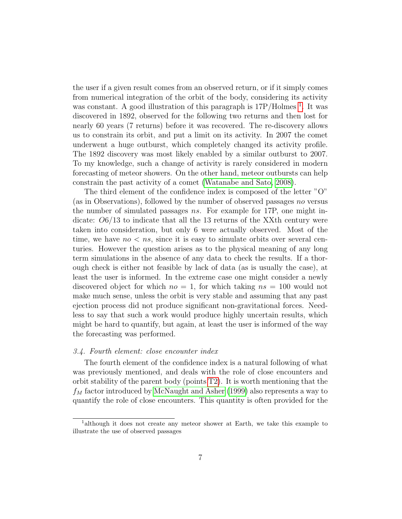the user if a given result comes from an observed return, or if it simply comes from numerical integration of the orbit of the body, considering its activity was constant. A good illustration of this paragraph is  $17P/Holmes<sup>1</sup>$  $17P/Holmes<sup>1</sup>$ . It was discovered in 1892, observed for the following two returns and then lost for nearly 60 years (7 returns) before it was recovered. The re-discovery allows us to constrain its orbit, and put a limit on its activity. In 2007 the comet underwent a huge outburst, which completely changed its activity profile. The 1892 discovery was most likely enabled by a similar outburst to 2007. To my knowledge, such a change of activity is rarely considered in modern forecasting of meteor showers. On the other hand, meteor outbursts can help constrain the past activity of a comet [\(Watanabe and Sato, 2008\)](#page-15-0).

The third element of the confidence index is composed of the letter "O" (as in Observations), followed by the number of observed passages no versus the number of simulated passages ns. For example for 17P, one might indicate: O6/13 to indicate that all the 13 returns of the XXth century were taken into consideration, but only 6 were actually observed. Most of the time, we have  $n \circ \leq n s$ , since it is easy to simulate orbits over several centuries. However the question arises as to the physical meaning of any long term simulations in the absence of any data to check the results. If a thorough check is either not feasible by lack of data (as is usually the case), at least the user is informed. In the extreme case one might consider a newly discovered object for which  $no = 1$ , for which taking  $ns = 100$  would not make much sense, unless the orbit is very stable and assuming that any past ejection process did not produce significant non-gravitational forces. Needless to say that such a work would produce highly uncertain results, which might be hard to quantify, but again, at least the user is informed of the way the forecasting was performed.

# 3.4. Fourth element: close encounter index

The fourth element of the confidence index is a natural following of what was previously mentioned, and deals with the role of close encounters and orbit stability of the parent body (points [T2\)](#page-2-7). It is worth mentioning that the  $f_M$  factor introduced by [McNaught and Asher](#page-14-1) [\(1999\)](#page-14-1) also represents a way to quantify the role of close encounters. This quantity is often provided for the

<span id="page-6-0"></span><sup>1</sup>although it does not create any meteor shower at Earth, we take this example to illustrate the use of observed passages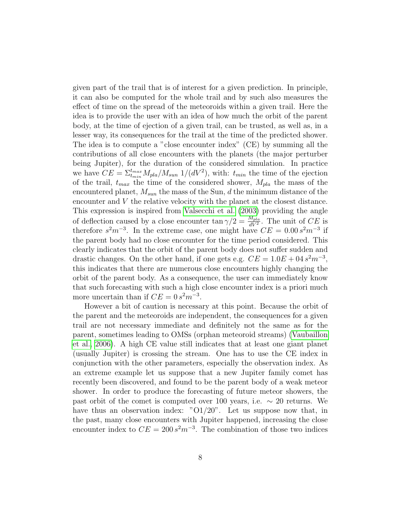given part of the trail that is of interest for a given prediction. In principle, it can also be computed for the whole trail and by such also measures the effect of time on the spread of the meteoroids within a given trail. Here the idea is to provide the user with an idea of how much the orbit of the parent body, at the time of ejection of a given trail, can be trusted, as well as, in a lesser way, its consequences for the trail at the time of the predicted shower. The idea is to compute a "close encounter index" (CE) by summing all the contributions of all close encounters with the planets (the major perturber being Jupiter), for the duration of the considered simulation. In practice we have  $CE = \sum_{t_{min}}^{t_{max}} M_{pla}/M_{sun}$  1/(dV<sup>2</sup>), with:  $t_{min}$  the time of the ejection of the trail,  $t_{max}$  the time of the considered shower,  $M_{pla}$  the mass of the encountered planet,  $M_{sun}$  the mass of the Sun, d the minimum distance of the encounter and V the relative velocity with the planet at the closest distance. This expression is inspired from [Valsecchi et al.](#page-14-10) [\(2003\)](#page-14-10) providing the angle of deflection caused by a close encounter  $\tan \gamma/2 = \frac{M_{pla}}{dV^2}$ . The unit of CE is therefore  $s^2m^{-3}$ . In the extreme case, one might have  $CE = 0.00 s^2m^{-3}$  if the parent body had no close encounter for the time period considered. This clearly indicates that the orbit of the parent body does not suffer sudden and drastic changes. On the other hand, if one gets e.g.  $CE = 1.0E + 0.4 s<sup>2</sup> m<sup>-3</sup>$ , this indicates that there are numerous close encounters highly changing the orbit of the parent body. As a consequence, the user can immediately know that such forecasting with such a high close encounter index is a priori much more uncertain than if  $CE = 0 s<sup>2</sup> m<sup>-3</sup>$ .

However a bit of caution is necessary at this point. Because the orbit of the parent and the meteoroids are independent, the consequences for a given trail are not necessary immediate and definitely not the same as for the parent, sometimes leading to OMSs (orphan meteoroid streams) [\(Vaubaillon](#page-14-11) [et al., 2006\)](#page-14-11). A high CE value still indicates that at least one giant planet (usually Jupiter) is crossing the stream. One has to use the CE index in conjunction with the other parameters, especially the observation index. As an extreme example let us suppose that a new Jupiter family comet has recently been discovered, and found to be the parent body of a weak meteor shower. In order to produce the forecasting of future meteor showers, the past orbit of the comet is computed over 100 years, i.e.  $\sim 20$  returns. We have thus an observation index: "O1/20". Let us suppose now that, in the past, many close encounters with Jupiter happened, increasing the close encounter index to  $CE = 200 s<sup>2</sup> m<sup>-3</sup>$ . The combination of those two indices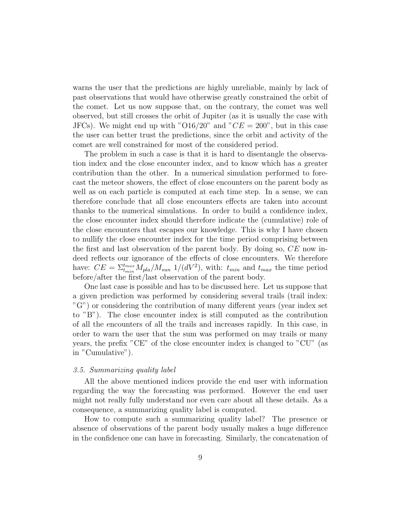warns the user that the predictions are highly unreliable, mainly by lack of past observations that would have otherwise greatly constrained the orbit of the comet. Let us now suppose that, on the contrary, the comet was well observed, but still crosses the orbit of Jupiter (as it is usually the case with JFCs). We might end up with "O16/20" and " $CE = 200$ ", but in this case the user can better trust the predictions, since the orbit and activity of the comet are well constrained for most of the considered period.

The problem in such a case is that it is hard to disentangle the observation index and the close encounter index, and to know which has a greater contribution than the other. In a numerical simulation performed to forecast the meteor showers, the effect of close encounters on the parent body as well as on each particle is computed at each time step. In a sense, we can therefore conclude that all close encounters effects are taken into account thanks to the numerical simulations. In order to build a confidence index, the close encounter index should therefore indicate the (cumulative) role of the close encounters that escapes our knowledge. This is why I have chosen to nullify the close encounter index for the time period comprising between the first and last observation of the parent body. By doing so, CE now indeed reflects our ignorance of the effects of close encounters. We therefore have:  $CE = \sum_{t_{min}}^{t_{max}} M_{pla}/M_{sun}$  1/(dV<sup>2</sup>), with:  $t_{min}$  and  $t_{max}$  the time period before/after the first/last observation of the parent body.

One last case is possible and has to be discussed here. Let us suppose that a given prediction was performed by considering several trails (trail index: "G") or considering the contribution of many different years (year index set to "B"). The close encounter index is still computed as the contribution of all the encounters of all the trails and increases rapidly. In this case, in order to warn the user that the sum was performed on may trails or many years, the prefix "CE" of the close encounter index is changed to "CU" (as in "Cumulative").

#### 3.5. Summarizing quality label

All the above mentioned indices provide the end user with information regarding the way the forecasting was performed. However the end user might not really fully understand nor even care about all these details. As a consequence, a summarizing quality label is computed.

How to compute such a summarizing quality label? The presence or absence of observations of the parent body usually makes a huge difference in the confidence one can have in forecasting. Similarly, the concatenation of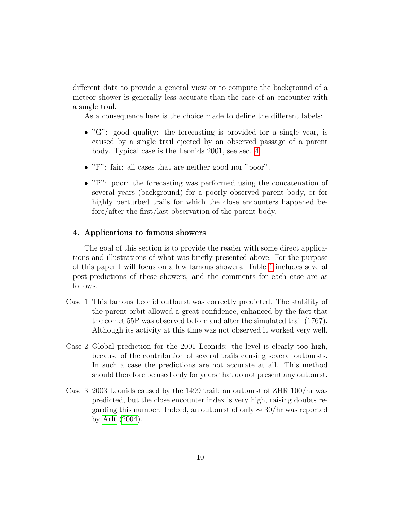different data to provide a general view or to compute the background of a meteor shower is generally less accurate than the case of an encounter with a single trail.

As a consequence here is the choice made to define the different labels:

- " $G$ ": good quality: the forecasting is provided for a single year, is caused by a single trail ejected by an observed passage of a parent body. Typical case is the Leonids 2001, see sec. [4.](#page-9-0)
- "F": fair: all cases that are neither good nor "poor".
- "P": poor: the forecasting was performed using the concatenation of several years (background) for a poorly observed parent body, or for highly perturbed trails for which the close encounters happened before/after the first/last observation of the parent body.

## <span id="page-9-0"></span>4. Applications to famous showers

The goal of this section is to provide the reader with some direct applications and illustrations of what was briefly presented above. For the purpose of this paper I will focus on a few famous showers. Table [1](#page-11-0) includes several post-predictions of these showers, and the comments for each case are as follows.

- Case 1 This famous Leonid outburst was correctly predicted. The stability of the parent orbit allowed a great confidence, enhanced by the fact that the comet 55P was observed before and after the simulated trail (1767). Although its activity at this time was not observed it worked very well.
- Case 2 Global prediction for the 2001 Leonids: the level is clearly too high, because of the contribution of several trails causing several outbursts. In such a case the predictions are not accurate at all. This method should therefore be used only for years that do not present any outburst.
- Case 3 2003 Leonids caused by the 1499 trail: an outburst of ZHR 100/hr was predicted, but the close encounter index is very high, raising doubts regarding this number. Indeed, an outburst of only  $\sim 30/\text{hr}$  was reported by [Arlt](#page-12-0) [\(2004\)](#page-12-0).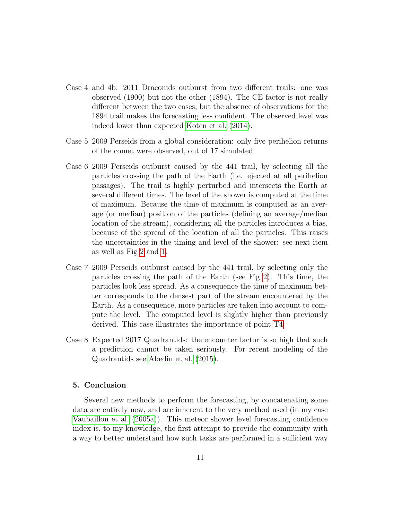- Case 4 and 4b: 2011 Draconids outburst from two different trails: one was observed (1900) but not the other (1894). The CE factor is not really different between the two cases, but the absence of observations for the 1894 trail makes the forecasting less confident. The observed level was indeed lower than expected [Koten et al.](#page-13-9) [\(2014\)](#page-13-9).
- Case 5 2009 Perseids from a global consideration: only five perihelion returns of the comet were observed, out of 17 simulated.
- Case 6 2009 Perseids outburst caused by the 441 trail, by selecting all the particles crossing the path of the Earth (i.e. ejected at all perihelion passages). The trail is highly perturbed and intersects the Earth at several different times. The level of the shower is computed at the time of maximum. Because the time of maximum is computed as an average (or median) position of the particles (defining an average/median location of the stream), considering all the particles introduces a bias, because of the spread of the location of all the particles. This raises the uncertainties in the timing and level of the shower: see next item as well as Fig [2](#page-12-1) and [1.](#page-12-2)
- Case 7 2009 Perseids outburst caused by the 441 trail, by selecting only the particles crossing the path of the Earth (see Fig [2\)](#page-12-1). This time, the particles look less spread. As a consequence the time of maximum better corresponds to the densest part of the stream encountered by the Earth. As a consequence, more particles are taken into account to compute the level. The computed level is slightly higher than previously derived. This case illustrates the importance of point [T4.](#page-2-4)
- Case 8 Expected 2017 Quadrantids: the encounter factor is so high that such a prediction cannot be taken seriously. For recent modeling of the Quadrantids see [Abedin et al.](#page-12-3) [\(2015\)](#page-12-3).

# 5. Conclusion

Several new methods to perform the forecasting, by concatenating some data are entirely new, and are inherent to the very method used (in my case [Vaubaillon et al.](#page-14-2) [\(2005a\)](#page-14-2)). This meteor shower level forecasting confidence index is, to my knowledge, the first attempt to provide the community with a way to better understand how such tasks are performed in a sufficient way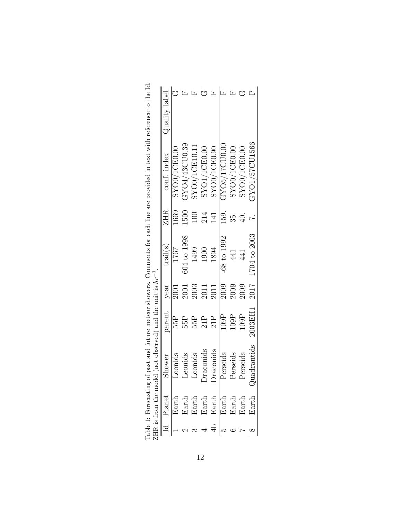|    | $HR$ is from the mode               |           | el (not observed) and the unit is $hr^{-1}$ |             |                              |                  |               |               |
|----|-------------------------------------|-----------|---------------------------------------------|-------------|------------------------------|------------------|---------------|---------------|
|    | $\overline{Id}$ Planet              | Shower    | parent                                      | year        | $\mathrm{trail}(\mathrm{s})$ | ZHR              | conf. index   | Quality label |
|    | Earth                               | Leonids   | 55P                                         | 2001        | 1767                         | 1669             | SYO0/1CE0.00  |               |
|    |                                     | Leonids   | 55P                                         | 2001        | 504 to 1998                  | 1500             | GYO4/43CU0.39 |               |
|    | $\frac{\text{Earth}}{\text{Earth}}$ | Leonids   | 55P                                         | 2003        | 1499                         | 100              | SYO0/1CE10.11 |               |
|    |                                     | Draconids | 21P                                         | 2011        | 1900                         | 214              | SYO1/1CE0.00  |               |
| 4b | $\frac{\text{Earth}}{\text{Earth}}$ | Draconids | 21P                                         | 2011        | 1894                         | $\overline{141}$ | SYO0/1CE0.90  |               |
|    |                                     | Perseids  | 109P                                        | 2009        | 68 to 1992                   | 159.             | GYO5/17CU0.00 |               |
|    | $\rm Earth$                         | Perseids  | 109P                                        | <b>2009</b> | 441                          | 35.              | SYO0/1CE0.00  |               |
|    | Earth                               | Perseids  | 109P                                        | <b>2009</b> | 441                          | 40.              | SYO0/1CE0.00  |               |
|    | Earth                               | adrantids | 2003EH1                                     | 2017        | 1704 to 2003                 |                  | GYO1/57CU1566 |               |
|    |                                     |           |                                             |             |                              |                  |               |               |

<span id="page-11-0"></span>

| ;<br>;<br>٦<br>ŀ<br>of past and future meteor showers. Comments for each line are provided in text with reference to the<br>i<br>S<br>)<br>$\frac{1}{2}$ | َ ا<br>د                                    |
|----------------------------------------------------------------------------------------------------------------------------------------------------------|---------------------------------------------|
| ć<br>l<br>į                                                                                                                                              | - 22 - 22 -<br>$\frac{1}{2}$<br>י<br>ו<br>l |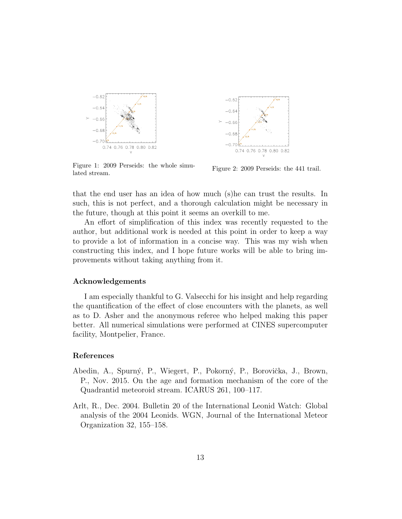

<span id="page-12-2"></span>Figure 1: 2009 Perseids: the whole simulated stream.



<span id="page-12-1"></span>Figure 2: 2009 Perseids: the 441 trail.

that the end user has an idea of how much (s)he can trust the results. In such, this is not perfect, and a thorough calculation might be necessary in the future, though at this point it seems an overkill to me.

An effort of simplification of this index was recently requested to the author, but additional work is needed at this point in order to keep a way to provide a lot of information in a concise way. This was my wish when constructing this index, and I hope future works will be able to bring improvements without taking anything from it.

# Acknowledgements

I am especially thankful to G. Valsecchi for his insight and help regarding the quantification of the effect of close encounters with the planets, as well as to D. Asher and the anonymous referee who helped making this paper better. All numerical simulations were performed at CINES supercomputer facility, Montpelier, France.

#### References

- <span id="page-12-3"></span>Abedin, A., Spurný, P., Wiegert, P., Pokorný, P., Borovička, J., Brown, P., Nov. 2015. On the age and formation mechanism of the core of the Quadrantid meteoroid stream. ICARUS 261, 100–117.
- <span id="page-12-0"></span>Arlt, R., Dec. 2004. Bulletin 20 of the International Leonid Watch: Global analysis of the 2004 Leonids. WGN, Journal of the International Meteor Organization 32, 155–158.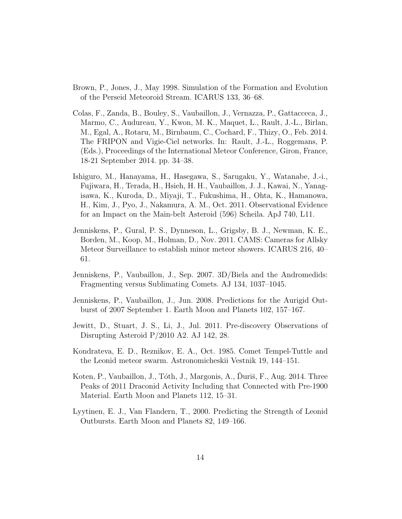- <span id="page-13-4"></span>Brown, P., Jones, J., May 1998. Simulation of the Formation and Evolution of the Perseid Meteoroid Stream. ICARUS 133, 36–68.
- <span id="page-13-3"></span>Colas, F., Zanda, B., Bouley, S., Vaubaillon, J., Vernazza, P., Gattacceca, J., Marmo, C., Audureau, Y., Kwon, M. K., Maquet, L., Rault, J.-L., Birlan, M., Egal, A., Rotaru, M., Birnbaum, C., Cochard, F., Thizy, O., Feb. 2014. The FRIPON and Vigie-Ciel networks. In: Rault, J.-L., Roggemans, P. (Eds.), Proceedings of the International Meteor Conference, Giron, France, 18-21 September 2014. pp. 34–38.
- <span id="page-13-6"></span>Ishiguro, M., Hanayama, H., Hasegawa, S., Sarugaku, Y., Watanabe, J.-i., Fujiwara, H., Terada, H., Hsieh, H. H., Vaubaillon, J. J., Kawai, N., Yanagisawa, K., Kuroda, D., Miyaji, T., Fukushima, H., Ohta, K., Hamanowa, H., Kim, J., Pyo, J., Nakamura, A. M., Oct. 2011. Observational Evidence for an Impact on the Main-belt Asteroid (596) Scheila. ApJ 740, L11.
- <span id="page-13-2"></span>Jenniskens, P., Gural, P. S., Dynneson, L., Grigsby, B. J., Newman, K. E., Borden, M., Koop, M., Holman, D., Nov. 2011. CAMS: Cameras for Allsky Meteor Surveillance to establish minor meteor showers. ICARUS 216, 40– 61.
- <span id="page-13-7"></span>Jenniskens, P., Vaubaillon, J., Sep. 2007. 3D/Biela and the Andromedids: Fragmenting versus Sublimating Comets. AJ 134, 1037–1045.
- <span id="page-13-5"></span>Jenniskens, P., Vaubaillon, J., Jun. 2008. Predictions for the Aurigid Outburst of 2007 September 1. Earth Moon and Planets 102, 157–167.
- <span id="page-13-8"></span>Jewitt, D., Stuart, J. S., Li, J., Jul. 2011. Pre-discovery Observations of Disrupting Asteroid P/2010 A2. AJ 142, 28.
- <span id="page-13-0"></span>Kondrateva, E. D., Reznikov, E. A., Oct. 1985. Comet Tempel-Tuttle and the Leonid meteor swarm. Astronomicheskii Vestnik 19, 144–151.
- <span id="page-13-9"></span>Koten, P., Vaubaillon, J., Tóth, J., Margonis, A., Duriš, F., Aug. 2014. Three Peaks of 2011 Draconid Activity Including that Connected with Pre-1900 Material. Earth Moon and Planets 112, 15–31.
- <span id="page-13-1"></span>Lyytinen, E. J., Van Flandern, T., 2000. Predicting the Strength of Leonid Outbursts. Earth Moon and Planets 82, 149–166.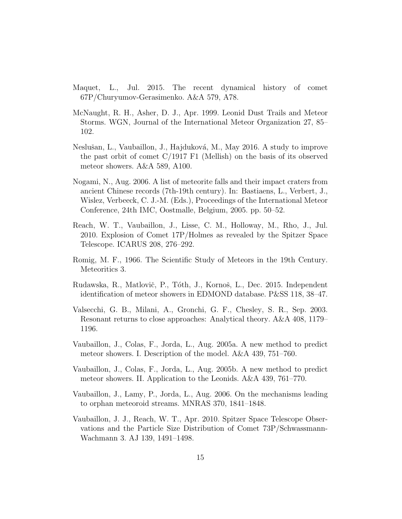- <span id="page-14-5"></span>Maquet, L., Jul. 2015. The recent dynamical history of comet 67P/Churyumov-Gerasimenko. A&A 579, A78.
- <span id="page-14-1"></span>McNaught, R. H., Asher, D. J., Apr. 1999. Leonid Dust Trails and Meteor Storms. WGN, Journal of the International Meteor Organization 27, 85– 102.
- <span id="page-14-4"></span>Neslušan, L., Vaubaillon, J., Hajduková, M., May 2016. A study to improve the past orbit of comet C/1917 F1 (Mellish) on the basis of its observed meteor showers. A&A 589, A100.
- <span id="page-14-9"></span>Nogami, N., Aug. 2006. A list of meteorite falls and their impact craters from ancient Chinese records (7th-19th century). In: Bastiaens, L., Verbert, J., Wislez, Verbeeck, C. J.-M. (Eds.), Proceedings of the International Meteor Conference, 24th IMC, Oostmalle, Belgium, 2005. pp. 50–52.
- <span id="page-14-7"></span>Reach, W. T., Vaubaillon, J., Lisse, C. M., Holloway, M., Rho, J., Jul. 2010. Explosion of Comet 17P/Holmes as revealed by the Spitzer Space Telescope. ICARUS 208, 276–292.
- <span id="page-14-0"></span>Romig, M. F., 1966. The Scientific Study of Meteors in the 19th Century. Meteoritics 3.
- <span id="page-14-3"></span>Rudawska, R., Matlovič, P., Tóth, J., Kornoš, L., Dec. 2015. Independent identification of meteor showers in EDMOND database. P&SS 118, 38–47.
- <span id="page-14-10"></span>Valsecchi, G. B., Milani, A., Gronchi, G. F., Chesley, S. R., Sep. 2003. Resonant returns to close approaches: Analytical theory. A&A 408, 1179– 1196.
- <span id="page-14-2"></span>Vaubaillon, J., Colas, F., Jorda, L., Aug. 2005a. A new method to predict meteor showers. I. Description of the model. A&A 439, 751–760.
- <span id="page-14-6"></span>Vaubaillon, J., Colas, F., Jorda, L., Aug. 2005b. A new method to predict meteor showers. II. Application to the Leonids. A&A 439, 761–770.
- <span id="page-14-11"></span>Vaubaillon, J., Lamy, P., Jorda, L., Aug. 2006. On the mechanisms leading to orphan meteoroid streams. MNRAS 370, 1841–1848.
- <span id="page-14-8"></span>Vaubaillon, J. J., Reach, W. T., Apr. 2010. Spitzer Space Telescope Observations and the Particle Size Distribution of Comet 73P/Schwassmann-Wachmann 3. AJ 139, 1491–1498.